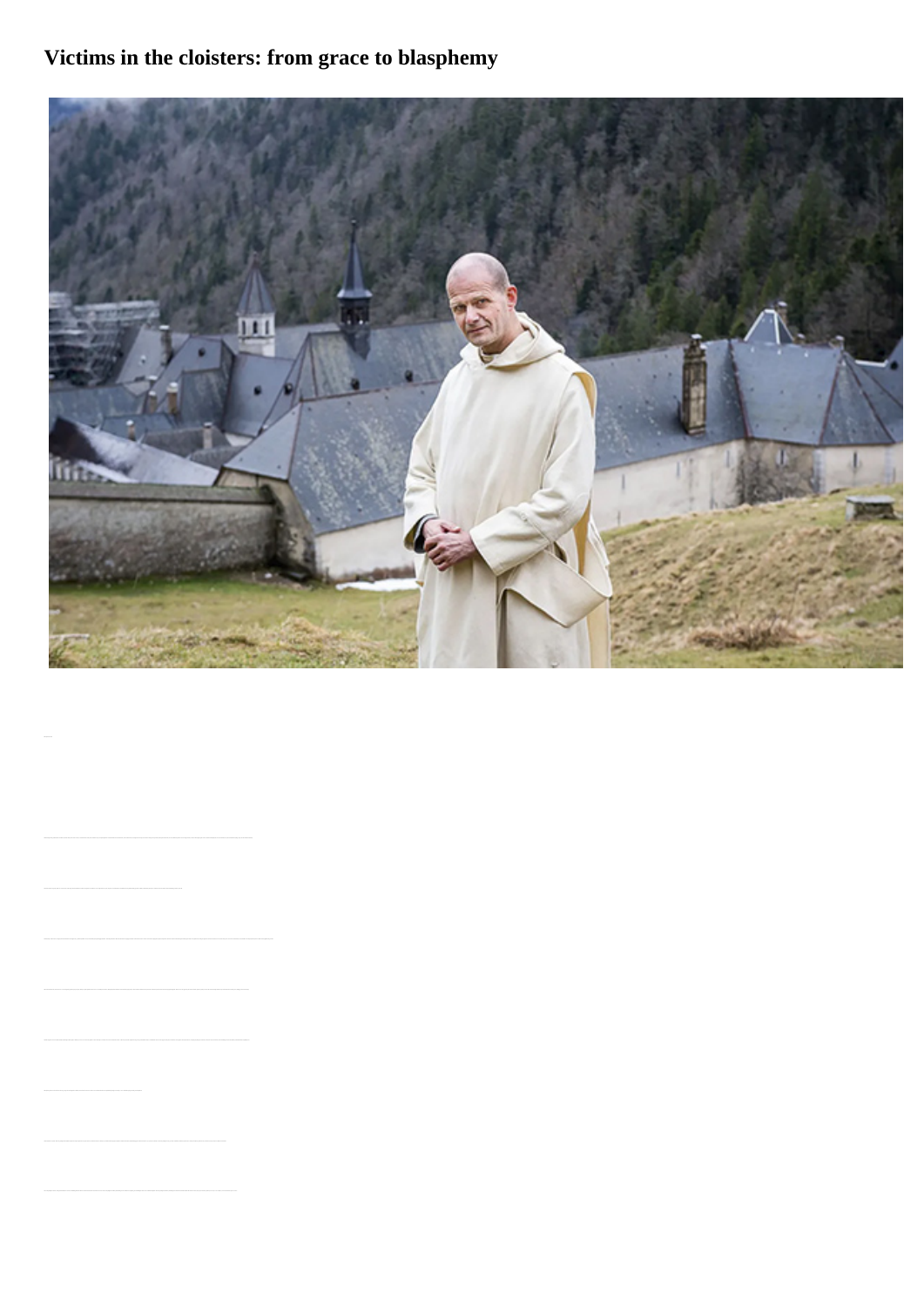## **Victims in the cloisters: from grace to blasphemy**